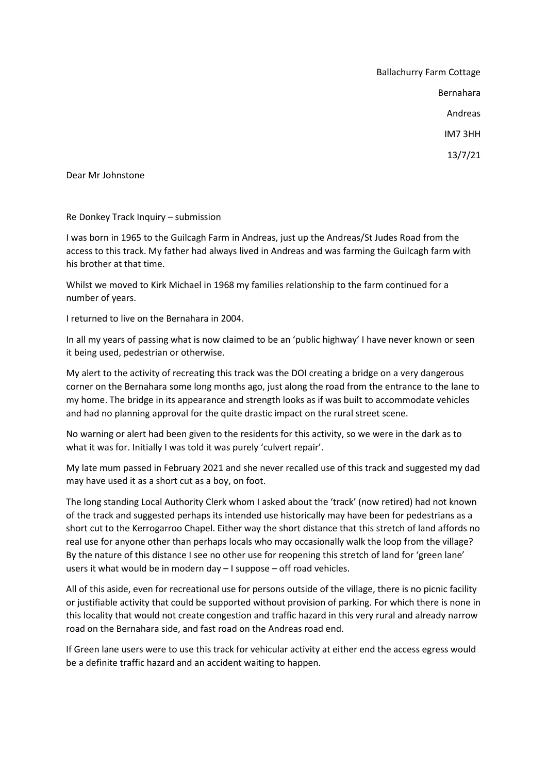Ballachurry Farm Cottage Bernahara Andreas IM7 3HH 13/7/21

Dear Mr Johnstone

Re Donkey Track Inquiry – submission

I was born in 1965 to the Guilcagh Farm in Andreas, just up the Andreas/St Judes Road from the access to this track. My father had always lived in Andreas and was farming the Guilcagh farm with his brother at that time.

Whilst we moved to Kirk Michael in 1968 my families relationship to the farm continued for a number of years.

I returned to live on the Bernahara in 2004.

In all my years of passing what is now claimed to be an 'public highway' I have never known or seen it being used, pedestrian or otherwise.

My alert to the activity of recreating this track was the DOI creating a bridge on a very dangerous corner on the Bernahara some long months ago, just along the road from the entrance to the lane to my home. The bridge in its appearance and strength looks as if was built to accommodate vehicles and had no planning approval for the quite drastic impact on the rural street scene.

No warning or alert had been given to the residents for this activity, so we were in the dark as to what it was for. Initially I was told it was purely 'culvert repair'.

My late mum passed in February 2021 and she never recalled use of this track and suggested my dad may have used it as a short cut as a boy, on foot.

The long standing Local Authority Clerk whom I asked about the 'track' (now retired) had not known of the track and suggested perhaps its intended use historically may have been for pedestrians as a short cut to the Kerrogarroo Chapel. Either way the short distance that this stretch of land affords no real use for anyone other than perhaps locals who may occasionally walk the loop from the village? By the nature of this distance I see no other use for reopening this stretch of land for 'green lane' users it what would be in modern day – I suppose – off road vehicles.

All of this aside, even for recreational use for persons outside of the village, there is no picnic facility or justifiable activity that could be supported without provision of parking. For which there is none in this locality that would not create congestion and traffic hazard in this very rural and already narrow road on the Bernahara side, and fast road on the Andreas road end.

If Green lane users were to use this track for vehicular activity at either end the access egress would be a definite traffic hazard and an accident waiting to happen.